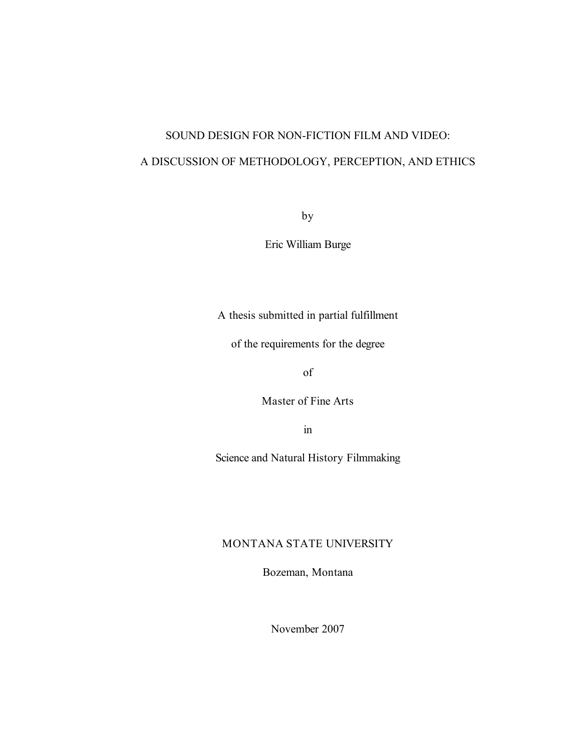# SOUND DESIGN FOR NON-FICTION FILM AND VIDEO: A DISCUSSION OF METHODOLOGY, PERCEPTION, AND ETHICS

by

Eric William Burge

A thesis submitted in partial fulfillment

of the requirements for the degree

of

Master of Fine Arts

in

Science and Natural History Filmmaking

## MONTANA STATE UNIVERSITY

Bozeman, Montana

November 2007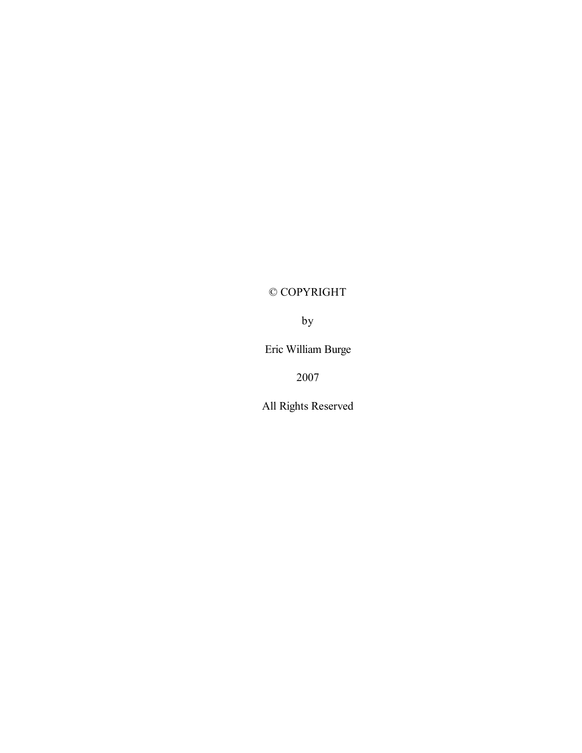# © COPYRIGHT

by

Eric William Burge

2007

All Rights Reserved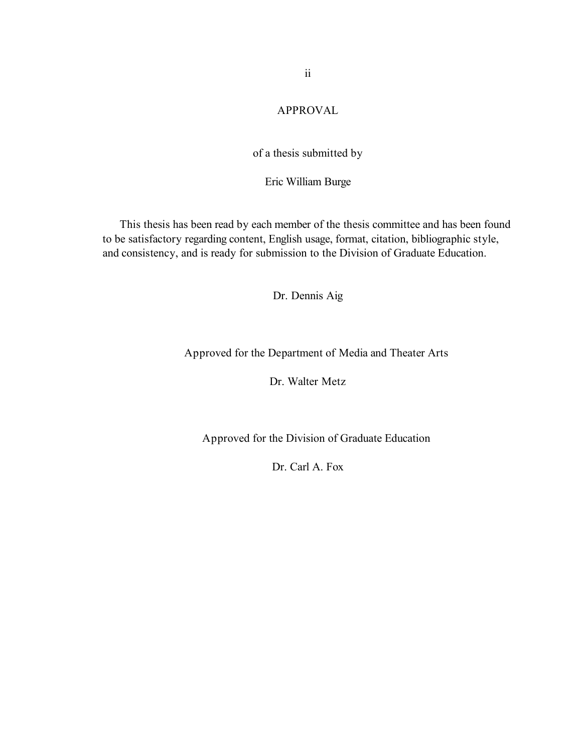# APPROVAL

# of a thesis submitted by

#### Eric William Burge

This thesis has been read by each member of the thesis committee and has been found to be satisfactory regarding content, English usage, format, citation, bibliographic style, and consistency, and is ready for submission to the Division of Graduate Education.

Dr. Dennis Aig

Approved for the Department of Media and Theater Arts

Dr. Walter Metz

Approved for the Division of Graduate Education

Dr. Carl A. Fox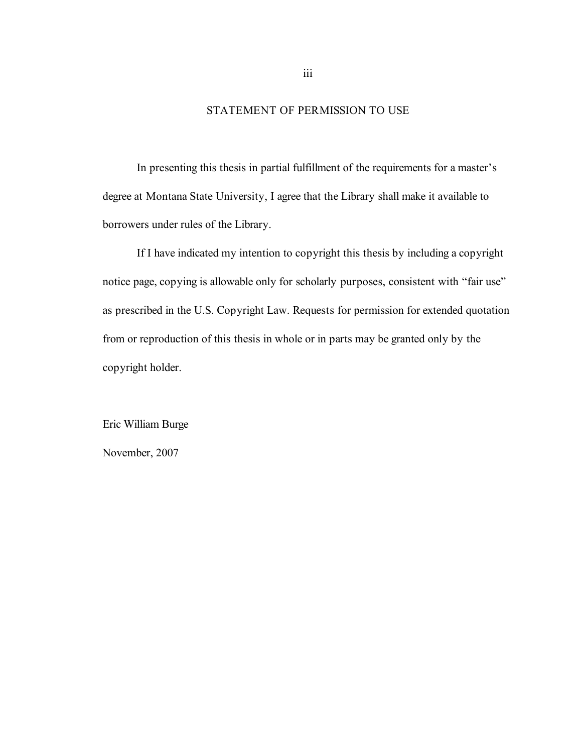## STATEMENT OF PERMISSION TO USE

In presenting this thesis in partial fulfillment of the requirements for a master's degree at Montana State University, I agree that the Library shall make it available to borrowers under rules of the Library.

If I have indicated my intention to copyright this thesis by including a copyright notice page, copying is allowable only for scholarly purposes, consistent with "fair use" as prescribed in the U.S. Copyright Law. Requests for permission for extended quotation from or reproduction of this thesis in whole or in parts may be granted only by the copyright holder.

Eric William Burge

November, 2007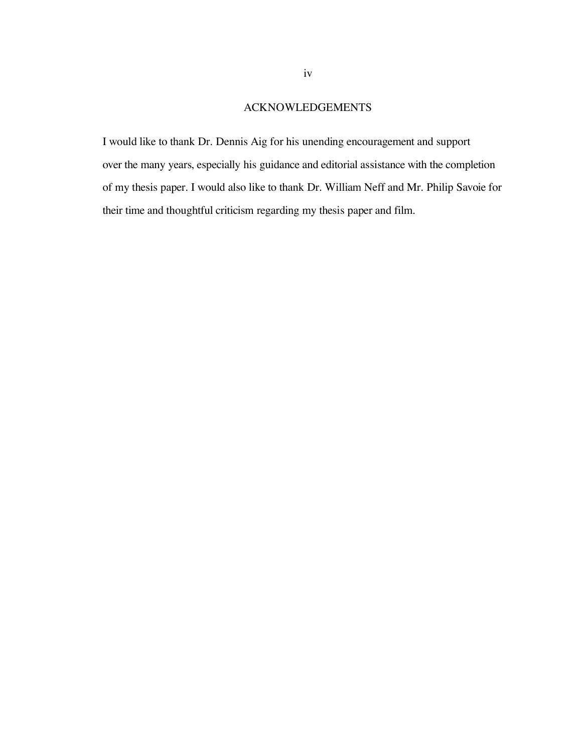## ACKNOWLEDGEMENTS

I would like to thank Dr. Dennis Aig for his unending encouragement and support over the many years, especially his guidance and editorial assistance with the completion of my thesis paper. I would also like to thank Dr. William Neff and Mr. Philip Savoie for their time and thoughtful criticism regarding my thesis paper and film.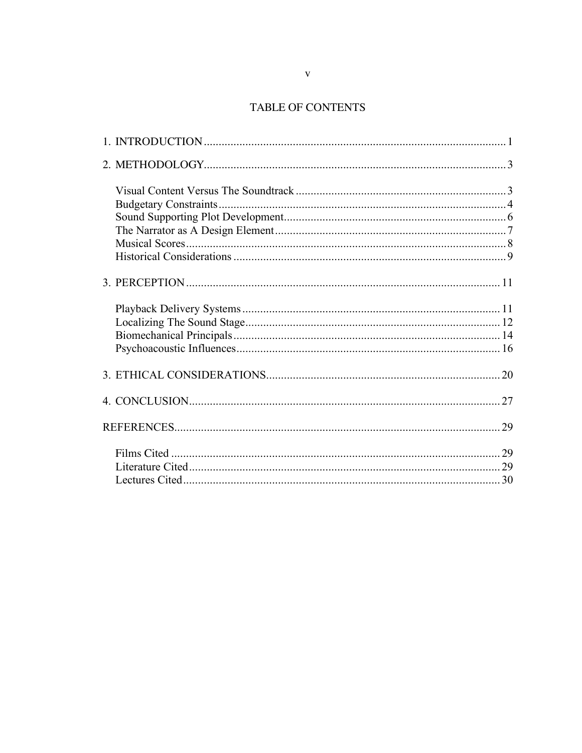# TABLE OF CONTENTS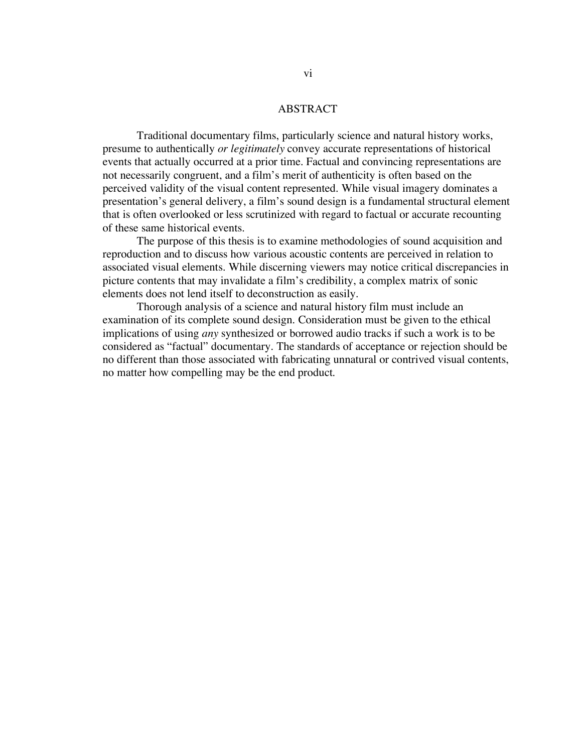#### ABSTRACT

Traditional documentary films, particularly science and natural history works, presume to authentically *or legitimately* convey accurate representations of historical events that actually occurred at a prior time. Factual and convincing representations are not necessarily congruent, and a film's merit of authenticity is often based on the perceived validity of the visual content represented. While visual imagery dominates a presentation's general delivery, a film's sound design is a fundamental structural element that is often overlooked or less scrutinized with regard to factual or accurate recounting of these same historical events.

The purpose of this thesis is to examine methodologies of sound acquisition and reproduction and to discuss how various acoustic contents are perceived in relation to associated visual elements. While discerning viewers may notice critical discrepancies in picture contents that may invalidate a film's credibility, a complex matrix of sonic elements does not lend itself to deconstruction as easily.

Thorough analysis of a science and natural history film must include an examination of its complete sound design. Consideration must be given to the ethical implications of using *any* synthesized or borrowed audio tracks if such a work is to be considered as "factual" documentary. The standards of acceptance or rejection should be no different than those associated with fabricating unnatural or contrived visual contents, no matter how compelling may be the end product.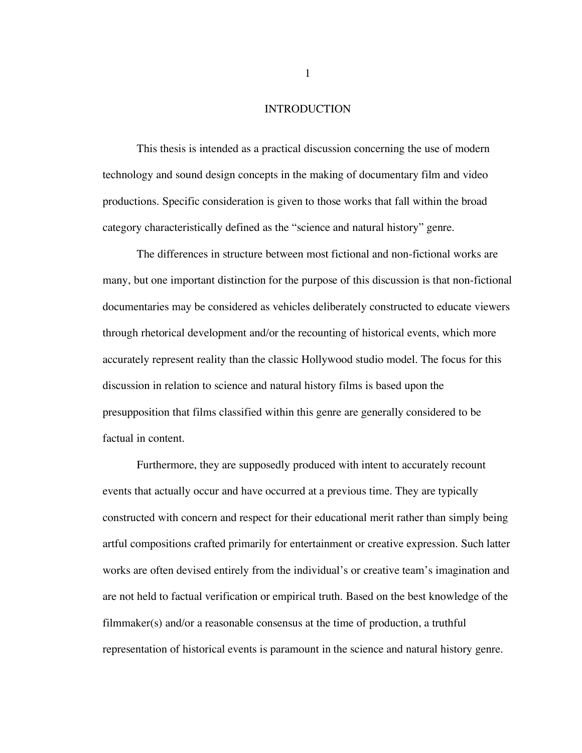#### INTRODUCTION

This thesis is intended as a practical discussion concerning the use of modern technology and sound design concepts in the making of documentary film and video productions. Specific consideration is given to those works that fall within the broad category characteristically defined as the "science and natural history" genre.

The differences in structure between most fictional and non-fictional works are many, but one important distinction for the purpose of this discussion is that non-fictional documentaries may be considered as vehicles deliberately constructed to educate viewers through rhetorical development and/or the recounting of historical events, which more accurately represent reality than the classic Hollywood studio model. The focus for this discussion in relation to science and natural history films is based upon the presupposition that films classified within this genre are generally considered to be factual in content.

Furthermore, they are supposedly produced with intent to accurately recount events that actually occur and have occurred at a previous time. They are typically constructed with concern and respect for their educational merit rather than simply being artful compositions crafted primarily for entertainment or creative expression. Such latter works are often devised entirely from the individual's or creative team's imagination and are not held to factual verification or empirical truth. Based on the best knowledge of the filmmaker(s) and/or a reasonable consensus at the time of production, a truthful representation of historical events is paramount in the science and natural history genre.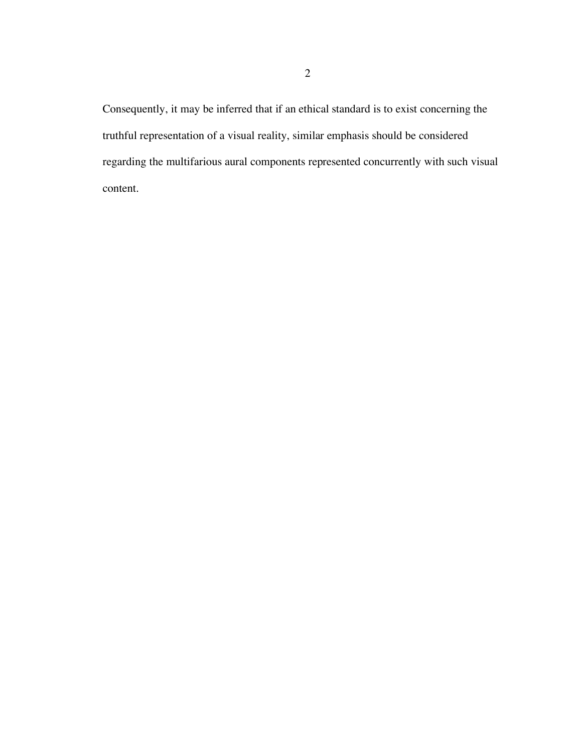Consequently, it may be inferred that if an ethical standard is to exist concerning the truthful representation of a visual reality, similar emphasis should be considered regarding the multifarious aural components represented concurrently with such visual content.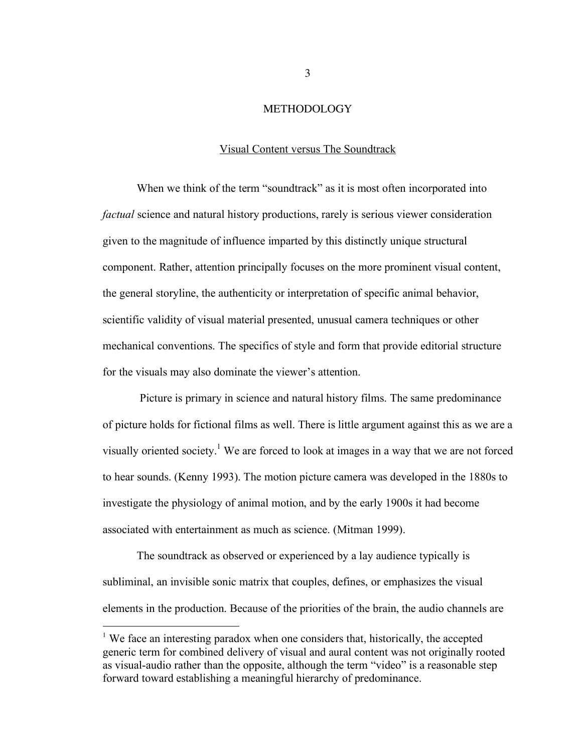#### **METHODOLOGY**

#### Visual Content versus The Soundtrack

When we think of the term "soundtrack" as it is most often incorporated into *factual* science and natural history productions, rarely is serious viewer consideration given to the magnitude of influence imparted by this distinctly unique structural component. Rather, attention principally focuses on the more prominent visual content, the general storyline, the authenticity or interpretation of specific animal behavior, scientific validity of visual material presented, unusual camera techniques or other mechanical conventions. The specifics of style and form that provide editorial structure for the visuals may also dominate the viewer's attention.

Picture is primary in science and natural history films. The same predominance of picture holds for fictional films as well. There is little argument against this as we are a visually oriented society.<sup>1</sup> We are forced to look at images in a way that we are not forced to hear sounds. (Kenny 1993). The motion picture camera was developed in the 1880s to investigate the physiology of animal motion, and by the early 1900s it had become associated with entertainment as much as science. (Mitman 1999).

The soundtrack as observed or experienced by a lay audience typically is subliminal, an invisible sonic matrix that couples, defines, or emphasizes the visual elements in the production. Because of the priorities of the brain, the audio channels are

<sup>&</sup>lt;sup>1</sup> We face an interesting paradox when one considers that, historically, the accepted generic term for combined delivery of visual and aural content was not originally rooted as visual-audio rather than the opposite, although the term "video" is a reasonable step forward toward establishing a meaningful hierarchy of predominance.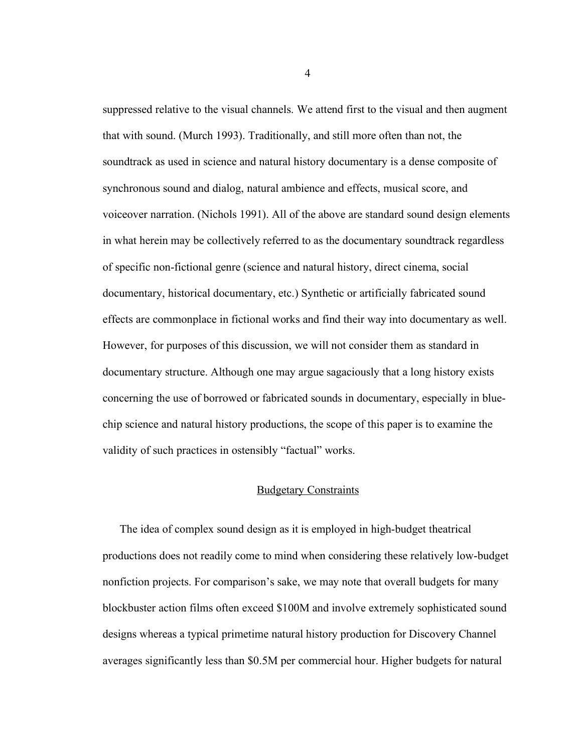suppressed relative to the visual channels. We attend first to the visual and then augment that with sound. (Murch 1993). Traditionally, and still more often than not, the soundtrack as used in science and natural history documentary is a dense composite of synchronous sound and dialog, natural ambience and effects, musical score, and voiceover narration. (Nichols 1991). All of the above are standard sound design elements in what herein may be collectively referred to as the documentary soundtrack regardless of specific non-fictional genre (science and natural history, direct cinema, social documentary, historical documentary, etc.) Synthetic or artificially fabricated sound effects are commonplace in fictional works and find their way into documentary as well. However, for purposes of this discussion, we will not consider them as standard in documentary structure. Although one may argue sagaciously that a long history exists concerning the use of borrowed or fabricated sounds in documentary, especially in bluechip science and natural history productions, the scope of this paper is to examine the validity of such practices in ostensibly "factual" works.

#### Budgetary Constraints

The idea of complex sound design as it is employed in high-budget theatrical productions does not readily come to mind when considering these relatively low-budget nonfiction projects. For comparison's sake, we may note that overall budgets for many blockbuster action films often exceed \$100M and involve extremely sophisticated sound designs whereas a typical primetime natural history production for Discovery Channel averages significantly less than \$0.5M per commercial hour. Higher budgets for natural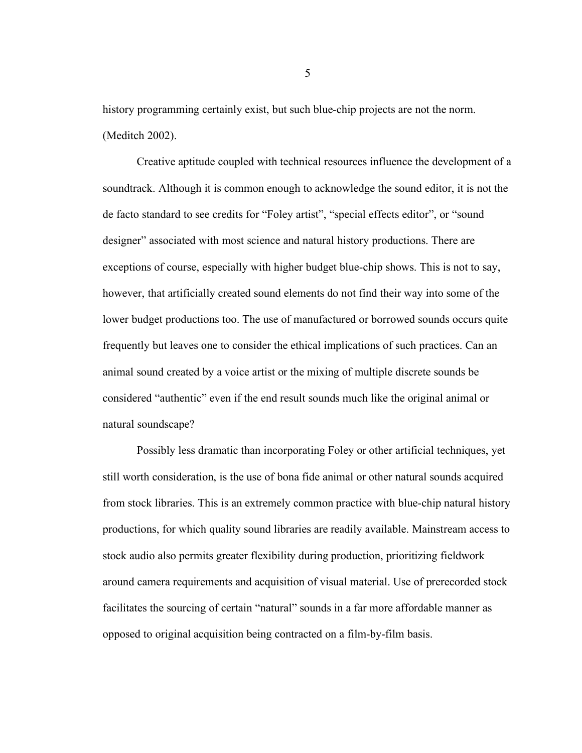history programming certainly exist, but such blue-chip projects are not the norm. (Meditch 2002).

Creative aptitude coupled with technical resources influence the development of a soundtrack. Although it is common enough to acknowledge the sound editor, it is not the de facto standard to see credits for "Foley artist", "special effects editor", or "sound designer" associated with most science and natural history productions. There are exceptions of course, especially with higher budget blue-chip shows. This is not to say, however, that artificially created sound elements do not find their way into some of the lower budget productions too. The use of manufactured or borrowed sounds occurs quite frequently but leaves one to consider the ethical implications of such practices. Can an animal sound created by a voice artist or the mixing of multiple discrete sounds be considered "authentic" even if the end result sounds much like the original animal or natural soundscape?

Possibly less dramatic than incorporating Foley or other artificial techniques, yet still worth consideration, is the use of bona fide animal or other natural sounds acquired from stock libraries. This is an extremely common practice with blue-chip natural history productions, for which quality sound libraries are readily available. Mainstream access to stock audio also permits greater flexibility during production, prioritizing fieldwork around camera requirements and acquisition of visual material. Use of prerecorded stock facilitates the sourcing of certain "natural" sounds in a far more affordable manner as opposed to original acquisition being contracted on a film-by-film basis.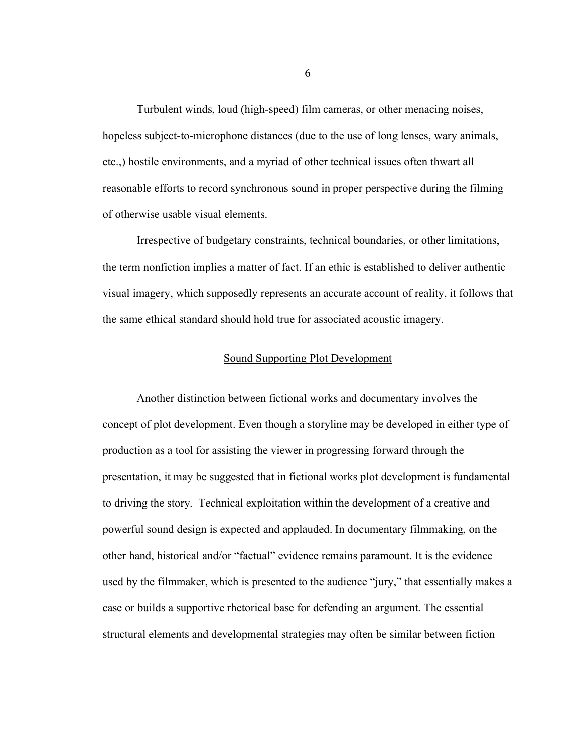Turbulent winds, loud (high-speed) film cameras, or other menacing noises, hopeless subject-to-microphone distances (due to the use of long lenses, wary animals, etc.,) hostile environments, and a myriad of other technical issues often thwart all reasonable efforts to record synchronous sound in proper perspective during the filming of otherwise usable visual elements.

Irrespective of budgetary constraints, technical boundaries, or other limitations, the term nonfiction implies a matter of fact. If an ethic is established to deliver authentic visual imagery, which supposedly represents an accurate account of reality, it follows that the same ethical standard should hold true for associated acoustic imagery.

#### Sound Supporting Plot Development

Another distinction between fictional works and documentary involves the concept of plot development. Even though a storyline may be developed in either type of production as a tool for assisting the viewer in progressing forward through the presentation, it may be suggested that in fictional works plot development is fundamental to driving the story. Technical exploitation within the development of a creative and powerful sound design is expected and applauded. In documentary filmmaking, on the other hand, historical and/or "factual" evidence remains paramount. It is the evidence used by the filmmaker, which is presented to the audience "jury," that essentially makes a case or builds a supportive rhetorical base for defending an argument. The essential structural elements and developmental strategies may often be similar between fiction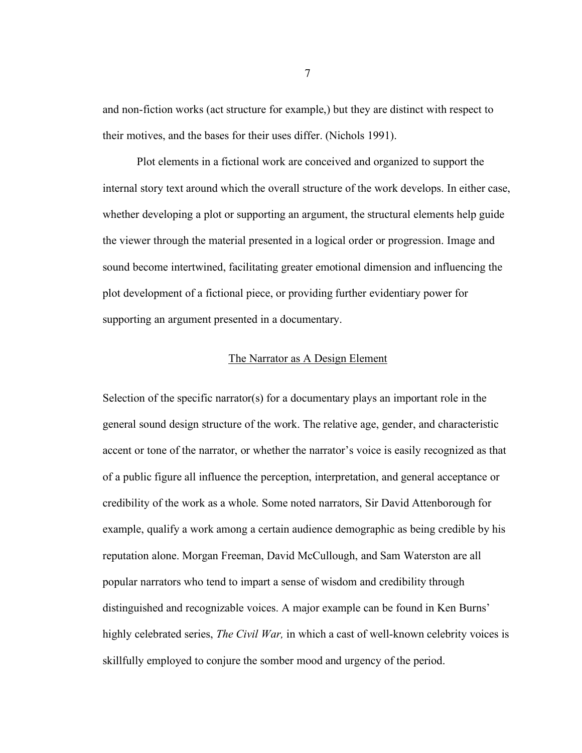and non-fiction works (act structure for example,) but they are distinct with respect to their motives, and the bases for their uses differ. (Nichols 1991).

Plot elements in a fictional work are conceived and organized to support the internal story text around which the overall structure of the work develops. In either case, whether developing a plot or supporting an argument, the structural elements help guide the viewer through the material presented in a logical order or progression. Image and sound become intertwined, facilitating greater emotional dimension and influencing the plot development of a fictional piece, or providing further evidentiary power for supporting an argument presented in a documentary.

#### The Narrator as A Design Element

Selection of the specific narrator(s) for a documentary plays an important role in the general sound design structure of the work. The relative age, gender, and characteristic accent or tone of the narrator, or whether the narrator's voice is easily recognized as that of a public figure all influence the perception, interpretation, and general acceptance or credibility of the work as a whole. Some noted narrators, Sir David Attenborough for example, qualify a work among a certain audience demographic as being credible by his reputation alone. Morgan Freeman, David McCullough, and Sam Waterston are all popular narrators who tend to impart a sense of wisdom and credibility through distinguished and recognizable voices. A major example can be found in Ken Burns' highly celebrated series, *The Civil War,* in which a cast of well-known celebrity voices is skillfully employed to conjure the somber mood and urgency of the period.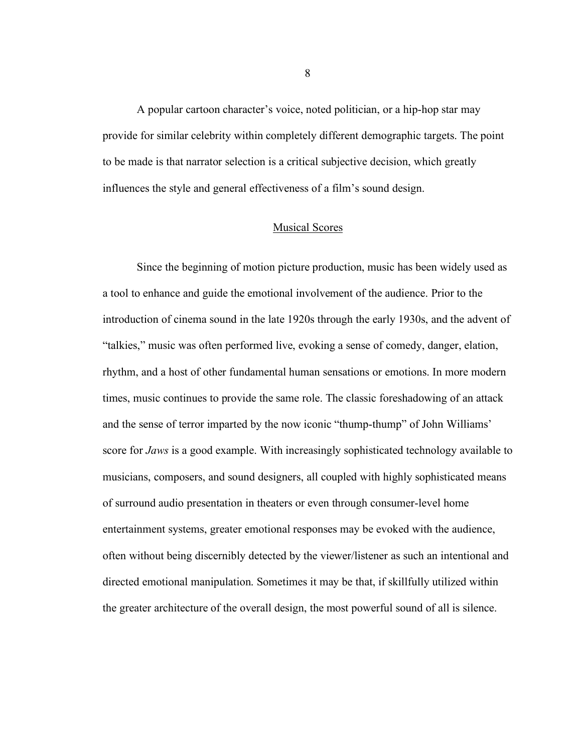A popular cartoon character's voice, noted politician, or a hip-hop star may provide for similar celebrity within completely different demographic targets. The point to be made is that narrator selection is a critical subjective decision, which greatly influences the style and general effectiveness of a film's sound design.

#### Musical Scores

Since the beginning of motion picture production, music has been widely used as a tool to enhance and guide the emotional involvement of the audience. Prior to the introduction of cinema sound in the late 1920s through the early 1930s, and the advent of "talkies," music was often performed live, evoking a sense of comedy, danger, elation, rhythm, and a host of other fundamental human sensations or emotions. In more modern times, music continues to provide the same role. The classic foreshadowing of an attack and the sense of terror imparted by the now iconic "thump-thump" of John Williams' score for *Jaws* is a good example. With increasingly sophisticated technology available to musicians, composers, and sound designers, all coupled with highly sophisticated means of surround audio presentation in theaters or even through consumer-level home entertainment systems, greater emotional responses may be evoked with the audience, often without being discernibly detected by the viewer/listener as such an intentional and directed emotional manipulation. Sometimes it may be that, if skillfully utilized within the greater architecture of the overall design, the most powerful sound of all is silence.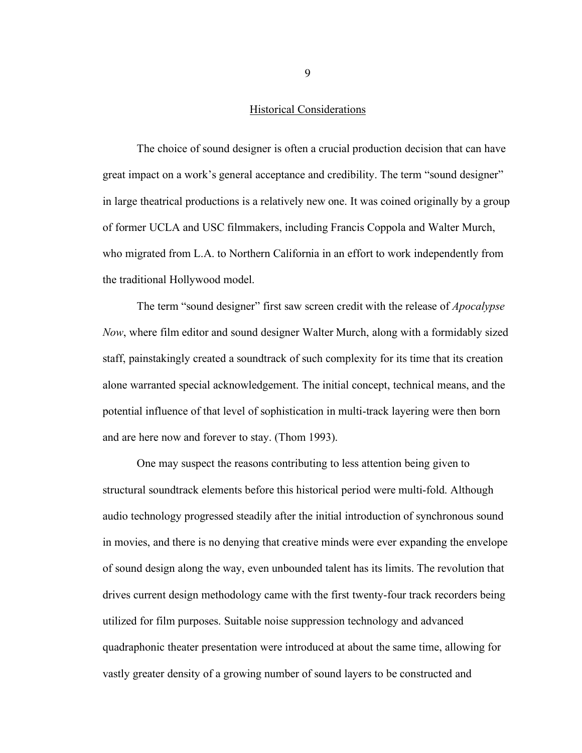#### Historical Considerations

The choice of sound designer is often a crucial production decision that can have great impact on a work's general acceptance and credibility. The term "sound designer" in large theatrical productions is a relatively new one. It was coined originally by a group of former UCLA and USC filmmakers, including Francis Coppola and Walter Murch, who migrated from L.A. to Northern California in an effort to work independently from the traditional Hollywood model.

The term "sound designer" first saw screen credit with the release of *Apocalypse Now*, where film editor and sound designer Walter Murch, along with a formidably sized staff, painstakingly created a soundtrack of such complexity for its time that its creation alone warranted special acknowledgement. The initial concept, technical means, and the potential influence of that level of sophistication in multi-track layering were then born and are here now and forever to stay. (Thom 1993).

One may suspect the reasons contributing to less attention being given to structural soundtrack elements before this historical period were multi-fold. Although audio technology progressed steadily after the initial introduction of synchronous sound in movies, and there is no denying that creative minds were ever expanding the envelope of sound design along the way, even unbounded talent has its limits. The revolution that drives current design methodology came with the first twenty-four track recorders being utilized for film purposes. Suitable noise suppression technology and advanced quadraphonic theater presentation were introduced at about the same time, allowing for vastly greater density of a growing number of sound layers to be constructed and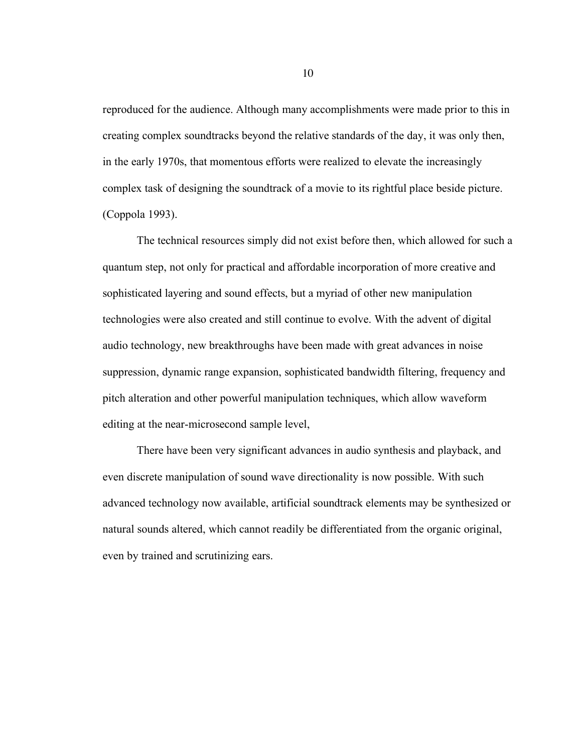reproduced for the audience. Although many accomplishments were made prior to this in creating complex soundtracks beyond the relative standards of the day, it was only then, in the early 1970s, that momentous efforts were realized to elevate the increasingly complex task of designing the soundtrack of a movie to its rightful place beside picture. (Coppola 1993).

The technical resources simply did not exist before then, which allowed for such a quantum step, not only for practical and affordable incorporation of more creative and sophisticated layering and sound effects, but a myriad of other new manipulation technologies were also created and still continue to evolve. With the advent of digital audio technology, new breakthroughs have been made with great advances in noise suppression, dynamic range expansion, sophisticated bandwidth filtering, frequency and pitch alteration and other powerful manipulation techniques, which allow waveform editing at the near-microsecond sample level,

There have been very significant advances in audio synthesis and playback, and even discrete manipulation of sound wave directionality is now possible. With such advanced technology now available, artificial soundtrack elements may be synthesized or natural sounds altered, which cannot readily be differentiated from the organic original, even by trained and scrutinizing ears.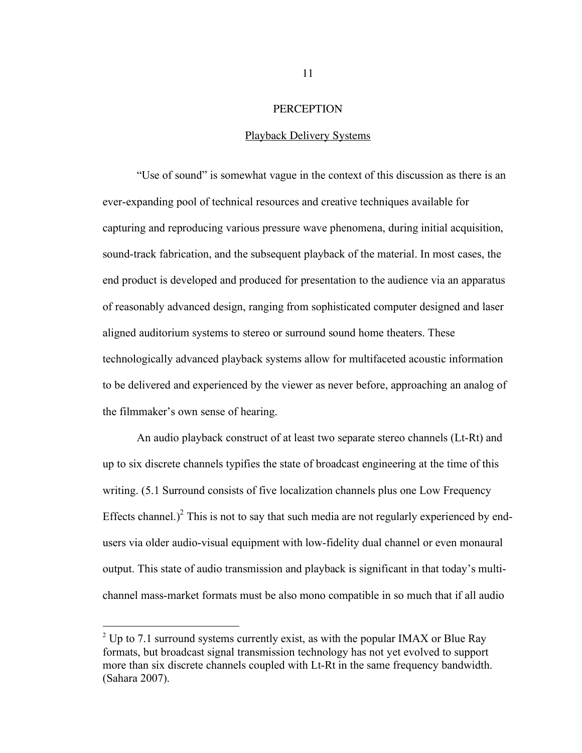#### **PERCEPTION**

#### Playback Delivery Systems

"Use of sound" is somewhat vague in the context of this discussion as there is an ever-expanding pool of technical resources and creative techniques available for capturing and reproducing various pressure wave phenomena, during initial acquisition, sound-track fabrication, and the subsequent playback of the material. In most cases, the end product is developed and produced for presentation to the audience via an apparatus of reasonably advanced design, ranging from sophisticated computer designed and laser aligned auditorium systems to stereo or surround sound home theaters. These technologically advanced playback systems allow for multifaceted acoustic information to be delivered and experienced by the viewer as never before, approaching an analog of the filmmaker's own sense of hearing.

An audio playback construct of at least two separate stereo channels (Lt-Rt) and up to six discrete channels typifies the state of broadcast engineering at the time of this writing. (5.1 Surround consists of five localization channels plus one Low Frequency Effects channel.)<sup>2</sup> This is not to say that such media are not regularly experienced by endusers via older audio-visual equipment with low-fidelity dual channel or even monaural output. This state of audio transmission and playback is significant in that today's multichannel mass-market formats must be also mono compatible in so much that if all audio

 $2$  Up to 7.1 surround systems currently exist, as with the popular IMAX or Blue Ray formats, but broadcast signal transmission technology has not yet evolved to support more than six discrete channels coupled with Lt-Rt in the same frequency bandwidth. (Sahara 2007).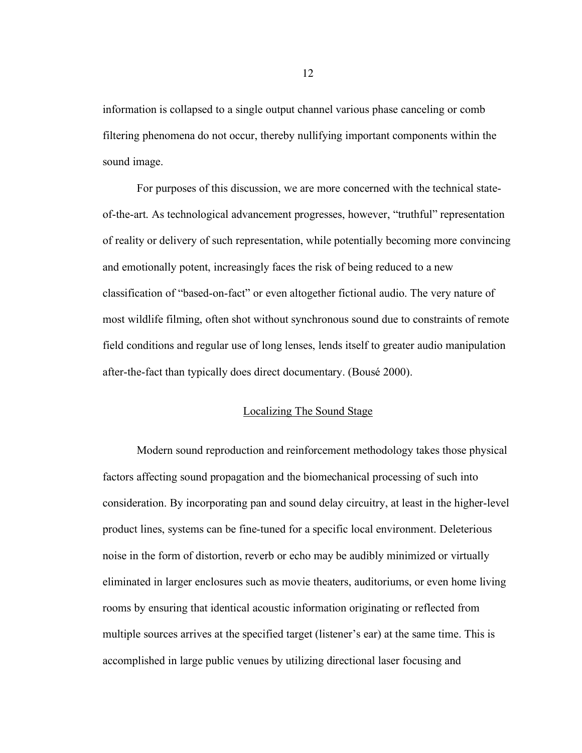information is collapsed to a single output channel various phase canceling or comb filtering phenomena do not occur, thereby nullifying important components within the sound image.

For purposes of this discussion, we are more concerned with the technical stateof-the-art. As technological advancement progresses, however, "truthful" representation of reality or delivery of such representation, while potentially becoming more convincing and emotionally potent, increasingly faces the risk of being reduced to a new classification of "based-on-fact" or even altogether fictional audio. The very nature of most wildlife filming, often shot without synchronous sound due to constraints of remote field conditions and regular use of long lenses, lends itself to greater audio manipulation after-the-fact than typically does direct documentary. (Bousé 2000).

#### Localizing The Sound Stage

Modern sound reproduction and reinforcement methodology takes those physical factors affecting sound propagation and the biomechanical processing of such into consideration. By incorporating pan and sound delay circuitry, at least in the higher-level product lines, systems can be fine-tuned for a specific local environment. Deleterious noise in the form of distortion, reverb or echo may be audibly minimized or virtually eliminated in larger enclosures such as movie theaters, auditoriums, or even home living rooms by ensuring that identical acoustic information originating or reflected from multiple sources arrives at the specified target (listener's ear) at the same time. This is accomplished in large public venues by utilizing directional laser focusing and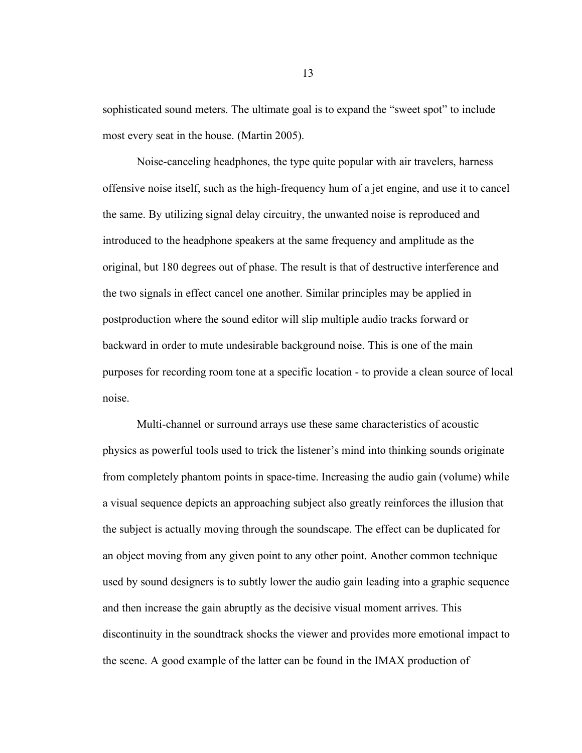sophisticated sound meters. The ultimate goal is to expand the "sweet spot" to include most every seat in the house. (Martin 2005).

Noise-canceling headphones, the type quite popular with air travelers, harness offensive noise itself, such as the high-frequency hum of a jet engine, and use it to cancel the same. By utilizing signal delay circuitry, the unwanted noise is reproduced and introduced to the headphone speakers at the same frequency and amplitude as the original, but 180 degrees out of phase. The result is that of destructive interference and the two signals in effect cancel one another. Similar principles may be applied in postproduction where the sound editor will slip multiple audio tracks forward or backward in order to mute undesirable background noise. This is one of the main purposes for recording room tone at a specific location - to provide a clean source of local noise.

Multi-channel or surround arrays use these same characteristics of acoustic physics as powerful tools used to trick the listener's mind into thinking sounds originate from completely phantom points in space-time. Increasing the audio gain (volume) while a visual sequence depicts an approaching subject also greatly reinforces the illusion that the subject is actually moving through the soundscape. The effect can be duplicated for an object moving from any given point to any other point. Another common technique used by sound designers is to subtly lower the audio gain leading into a graphic sequence and then increase the gain abruptly as the decisive visual moment arrives. This discontinuity in the soundtrack shocks the viewer and provides more emotional impact to the scene. A good example of the latter can be found in the IMAX production of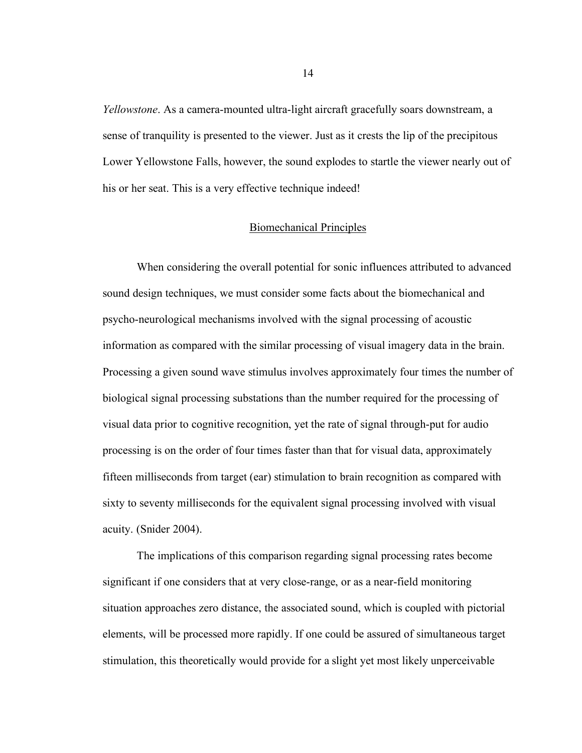*Yellowstone*. As a camera-mounted ultra-light aircraft gracefully soars downstream, a sense of tranquility is presented to the viewer. Just as it crests the lip of the precipitous Lower Yellowstone Falls, however, the sound explodes to startle the viewer nearly out of his or her seat. This is a very effective technique indeed!

#### Biomechanical Principles

When considering the overall potential for sonic influences attributed to advanced sound design techniques, we must consider some facts about the biomechanical and psycho-neurological mechanisms involved with the signal processing of acoustic information as compared with the similar processing of visual imagery data in the brain. Processing a given sound wave stimulus involves approximately four times the number of biological signal processing substations than the number required for the processing of visual data prior to cognitive recognition, yet the rate of signal through-put for audio processing is on the order of four times faster than that for visual data, approximately fifteen milliseconds from target (ear) stimulation to brain recognition as compared with sixty to seventy milliseconds for the equivalent signal processing involved with visual acuity. (Snider 2004).

The implications of this comparison regarding signal processing rates become significant if one considers that at very close-range, or as a near-field monitoring situation approaches zero distance, the associated sound, which is coupled with pictorial elements, will be processed more rapidly. If one could be assured of simultaneous target stimulation, this theoretically would provide for a slight yet most likely unperceivable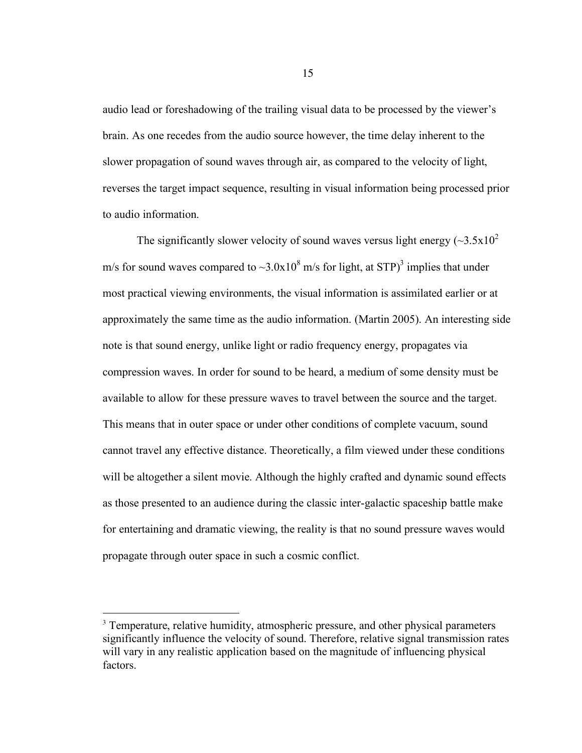audio lead or foreshadowing of the trailing visual data to be processed by the viewer's brain. As one recedes from the audio source however, the time delay inherent to the slower propagation of sound waves through air, as compared to the velocity of light, reverses the target impact sequence, resulting in visual information being processed prior to audio information.

The significantly slower velocity of sound waves versus light energy  $(\sim 3.5 \times 10^2$ m/s for sound waves compared to  $\sim$ 3.0x10<sup>8</sup> m/s for light, at STP)<sup>3</sup> implies that under most practical viewing environments, the visual information is assimilated earlier or at approximately the same time as the audio information. (Martin 2005). An interesting side note is that sound energy, unlike light or radio frequency energy, propagates via compression waves. In order for sound to be heard, a medium of some density must be available to allow for these pressure waves to travel between the source and the target. This means that in outer space or under other conditions of complete vacuum, sound cannot travel any effective distance. Theoretically, a film viewed under these conditions will be altogether a silent movie. Although the highly crafted and dynamic sound effects as those presented to an audience during the classic inter-galactic spaceship battle make for entertaining and dramatic viewing, the reality is that no sound pressure waves would propagate through outer space in such a cosmic conflict.

<sup>&</sup>lt;sup>3</sup> Temperature, relative humidity, atmospheric pressure, and other physical parameters significantly influence the velocity of sound. Therefore, relative signal transmission rates will vary in any realistic application based on the magnitude of influencing physical factors.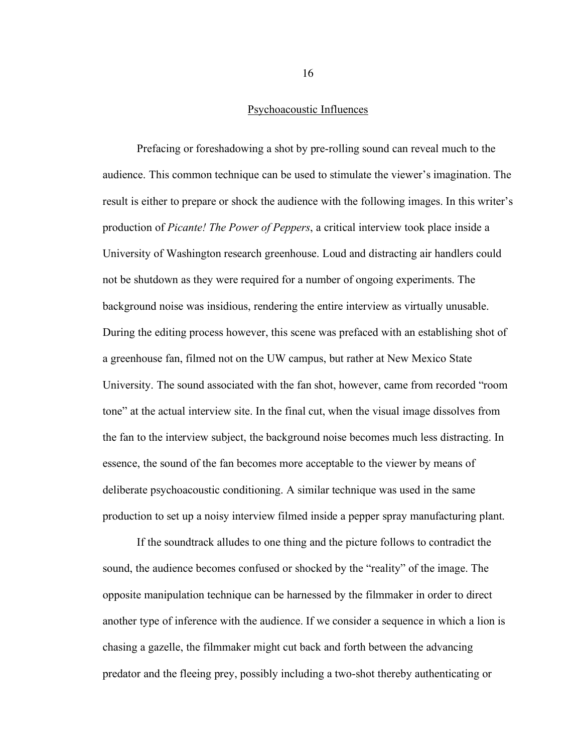#### Psychoacoustic Influences

Prefacing or foreshadowing a shot by pre-rolling sound can reveal much to the audience. This common technique can be used to stimulate the viewer's imagination. The result is either to prepare or shock the audience with the following images. In this writer's production of *Picante! The Power of Peppers*, a critical interview took place inside a University of Washington research greenhouse. Loud and distracting air handlers could not be shutdown as they were required for a number of ongoing experiments. The background noise was insidious, rendering the entire interview as virtually unusable. During the editing process however, this scene was prefaced with an establishing shot of a greenhouse fan, filmed not on the UW campus, but rather at New Mexico State University. The sound associated with the fan shot, however, came from recorded "room tone" at the actual interview site. In the final cut, when the visual image dissolves from the fan to the interview subject, the background noise becomes much less distracting. In essence, the sound of the fan becomes more acceptable to the viewer by means of deliberate psychoacoustic conditioning. A similar technique was used in the same production to set up a noisy interview filmed inside a pepper spray manufacturing plant.

If the soundtrack alludes to one thing and the picture follows to contradict the sound, the audience becomes confused or shocked by the "reality" of the image. The opposite manipulation technique can be harnessed by the filmmaker in order to direct another type of inference with the audience. If we consider a sequence in which a lion is chasing a gazelle, the filmmaker might cut back and forth between the advancing predator and the fleeing prey, possibly including a two-shot thereby authenticating or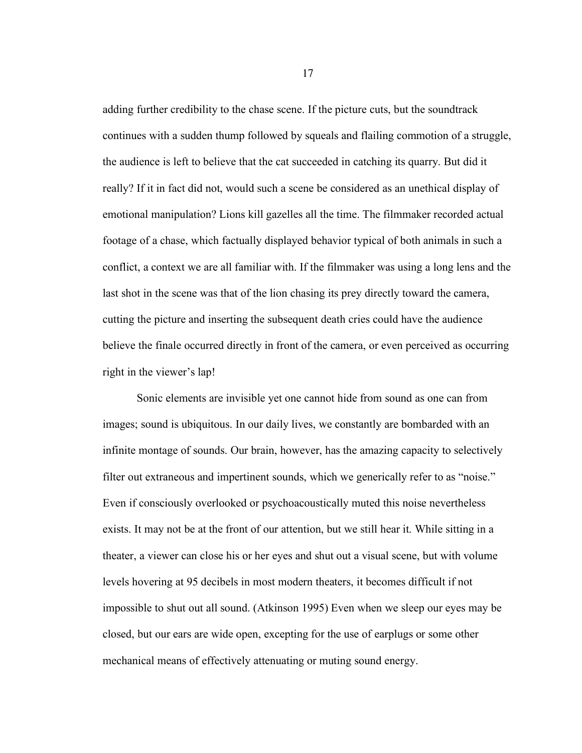adding further credibility to the chase scene. If the picture cuts, but the soundtrack continues with a sudden thump followed by squeals and flailing commotion of a struggle, the audience is left to believe that the cat succeeded in catching its quarry. But did it really? If it in fact did not, would such a scene be considered as an unethical display of emotional manipulation? Lions kill gazelles all the time. The filmmaker recorded actual footage of a chase, which factually displayed behavior typical of both animals in such a conflict, a context we are all familiar with. If the filmmaker was using a long lens and the last shot in the scene was that of the lion chasing its prey directly toward the camera, cutting the picture and inserting the subsequent death cries could have the audience believe the finale occurred directly in front of the camera, or even perceived as occurring right in the viewer's lap!

Sonic elements are invisible yet one cannot hide from sound as one can from images; sound is ubiquitous. In our daily lives, we constantly are bombarded with an infinite montage of sounds. Our brain, however, has the amazing capacity to selectively filter out extraneous and impertinent sounds, which we generically refer to as "noise." Even if consciously overlooked or psychoacoustically muted this noise nevertheless exists. It may not be at the front of our attention, but we still hear it. While sitting in a theater, a viewer can close his or her eyes and shut out a visual scene, but with volume levels hovering at 95 decibels in most modern theaters, it becomes difficult if not impossible to shut out all sound. (Atkinson 1995) Even when we sleep our eyes may be closed, but our ears are wide open, excepting for the use of earplugs or some other mechanical means of effectively attenuating or muting sound energy.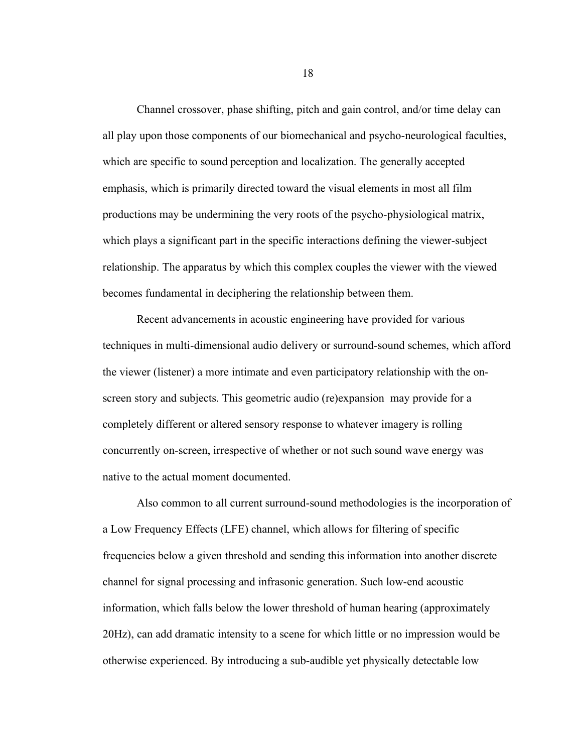Channel crossover, phase shifting, pitch and gain control, and/or time delay can all play upon those components of our biomechanical and psycho-neurological faculties, which are specific to sound perception and localization. The generally accepted emphasis, which is primarily directed toward the visual elements in most all film productions may be undermining the very roots of the psycho-physiological matrix, which plays a significant part in the specific interactions defining the viewer-subject relationship. The apparatus by which this complex couples the viewer with the viewed becomes fundamental in deciphering the relationship between them.

Recent advancements in acoustic engineering have provided for various techniques in multi-dimensional audio delivery or surround-sound schemes, which afford the viewer (listener) a more intimate and even participatory relationship with the onscreen story and subjects. This geometric audio (re)expansion may provide for a completely different or altered sensory response to whatever imagery is rolling concurrently on-screen, irrespective of whether or not such sound wave energy was native to the actual moment documented.

Also common to all current surround-sound methodologies is the incorporation of a Low Frequency Effects (LFE) channel, which allows for filtering of specific frequencies below a given threshold and sending this information into another discrete channel for signal processing and infrasonic generation. Such low-end acoustic information, which falls below the lower threshold of human hearing (approximately 20Hz), can add dramatic intensity to a scene for which little or no impression would be otherwise experienced. By introducing a sub-audible yet physically detectable low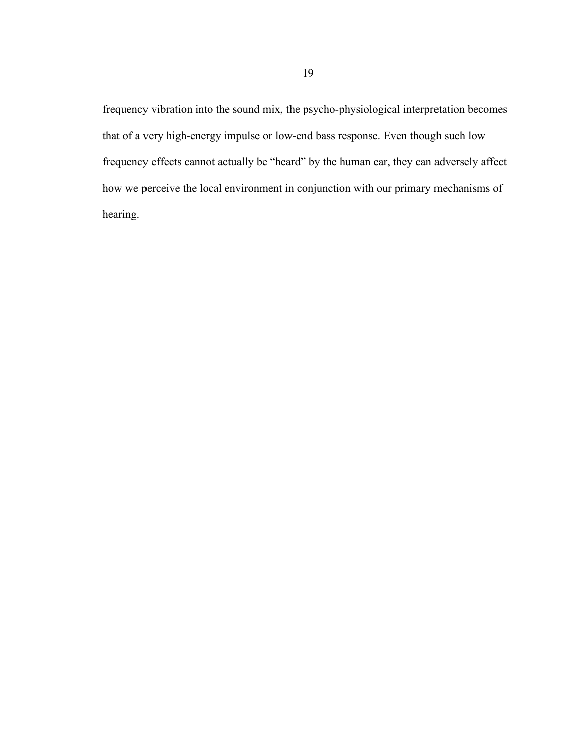frequency vibration into the sound mix, the psycho-physiological interpretation becomes that of a very high-energy impulse or low-end bass response. Even though such low frequency effects cannot actually be "heard" by the human ear, they can adversely affect how we perceive the local environment in conjunction with our primary mechanisms of hearing.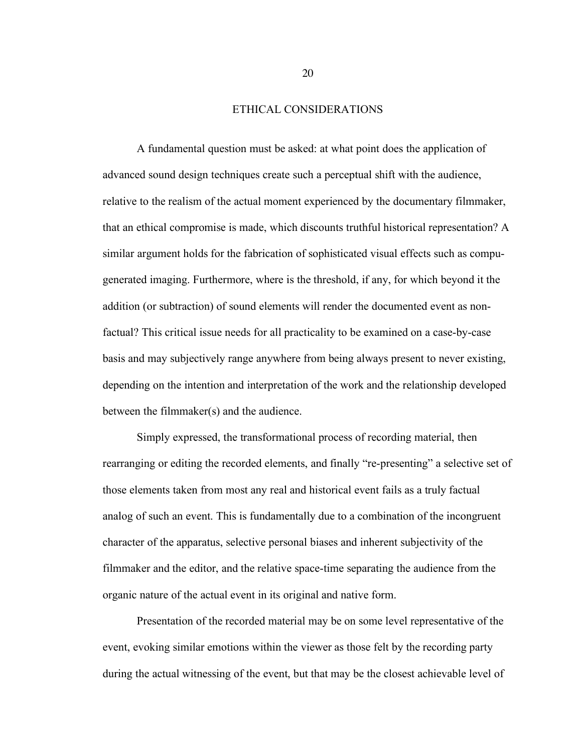#### ETHICAL CONSIDERATIONS

A fundamental question must be asked: at what point does the application of advanced sound design techniques create such a perceptual shift with the audience, relative to the realism of the actual moment experienced by the documentary filmmaker, that an ethical compromise is made, which discounts truthful historical representation? A similar argument holds for the fabrication of sophisticated visual effects such as compugenerated imaging. Furthermore, where is the threshold, if any, for which beyond it the addition (or subtraction) of sound elements will render the documented event as nonfactual? This critical issue needs for all practicality to be examined on a case-by-case basis and may subjectively range anywhere from being always present to never existing, depending on the intention and interpretation of the work and the relationship developed between the filmmaker(s) and the audience.

Simply expressed, the transformational process of recording material, then rearranging or editing the recorded elements, and finally "re-presenting" a selective set of those elements taken from most any real and historical event fails as a truly factual analog of such an event. This is fundamentally due to a combination of the incongruent character of the apparatus, selective personal biases and inherent subjectivity of the filmmaker and the editor, and the relative space-time separating the audience from the organic nature of the actual event in its original and native form.

Presentation of the recorded material may be on some level representative of the event, evoking similar emotions within the viewer as those felt by the recording party during the actual witnessing of the event, but that may be the closest achievable level of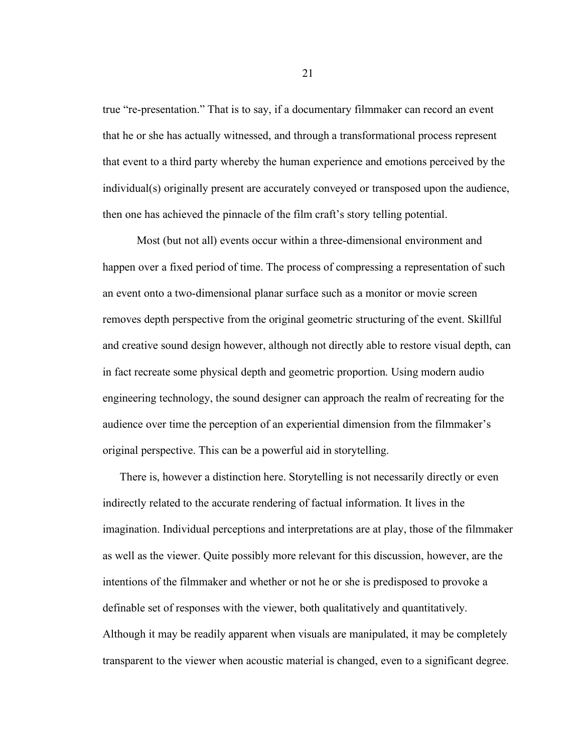true "re-presentation." That is to say, if a documentary filmmaker can record an event that he or she has actually witnessed, and through a transformational process represent that event to a third party whereby the human experience and emotions perceived by the individual(s) originally present are accurately conveyed or transposed upon the audience, then one has achieved the pinnacle of the film craft's story telling potential.

Most (but not all) events occur within a three-dimensional environment and happen over a fixed period of time. The process of compressing a representation of such an event onto a two-dimensional planar surface such as a monitor or movie screen removes depth perspective from the original geometric structuring of the event. Skillful and creative sound design however, although not directly able to restore visual depth, can in fact recreate some physical depth and geometric proportion. Using modern audio engineering technology, the sound designer can approach the realm of recreating for the audience over time the perception of an experiential dimension from the filmmaker's original perspective. This can be a powerful aid in storytelling.

There is, however a distinction here. Storytelling is not necessarily directly or even indirectly related to the accurate rendering of factual information. It lives in the imagination. Individual perceptions and interpretations are at play, those of the filmmaker as well as the viewer. Quite possibly more relevant for this discussion, however, are the intentions of the filmmaker and whether or not he or she is predisposed to provoke a definable set of responses with the viewer, both qualitatively and quantitatively. Although it may be readily apparent when visuals are manipulated, it may be completely transparent to the viewer when acoustic material is changed, even to a significant degree.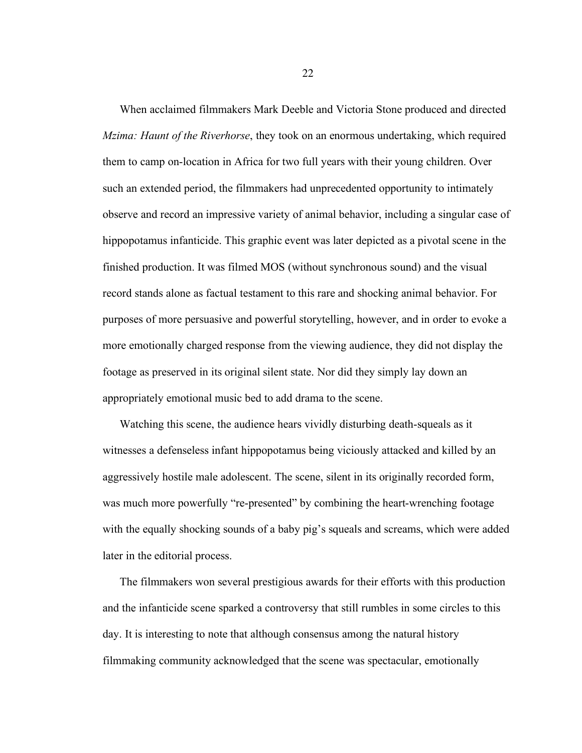When acclaimed filmmakers Mark Deeble and Victoria Stone produced and directed *Mzima: Haunt of the Riverhorse*, they took on an enormous undertaking, which required them to camp on-location in Africa for two full years with their young children. Over such an extended period, the filmmakers had unprecedented opportunity to intimately observe and record an impressive variety of animal behavior, including a singular case of hippopotamus infanticide. This graphic event was later depicted as a pivotal scene in the finished production. It was filmed MOS (without synchronous sound) and the visual record stands alone as factual testament to this rare and shocking animal behavior. For purposes of more persuasive and powerful storytelling, however, and in order to evoke a more emotionally charged response from the viewing audience, they did not display the footage as preserved in its original silent state. Nor did they simply lay down an appropriately emotional music bed to add drama to the scene.

Watching this scene, the audience hears vividly disturbing death-squeals as it witnesses a defenseless infant hippopotamus being viciously attacked and killed by an aggressively hostile male adolescent. The scene, silent in its originally recorded form, was much more powerfully "re-presented" by combining the heart-wrenching footage with the equally shocking sounds of a baby pig's squeals and screams, which were added later in the editorial process.

The filmmakers won several prestigious awards for their efforts with this production and the infanticide scene sparked a controversy that still rumbles in some circles to this day. It is interesting to note that although consensus among the natural history filmmaking community acknowledged that the scene was spectacular, emotionally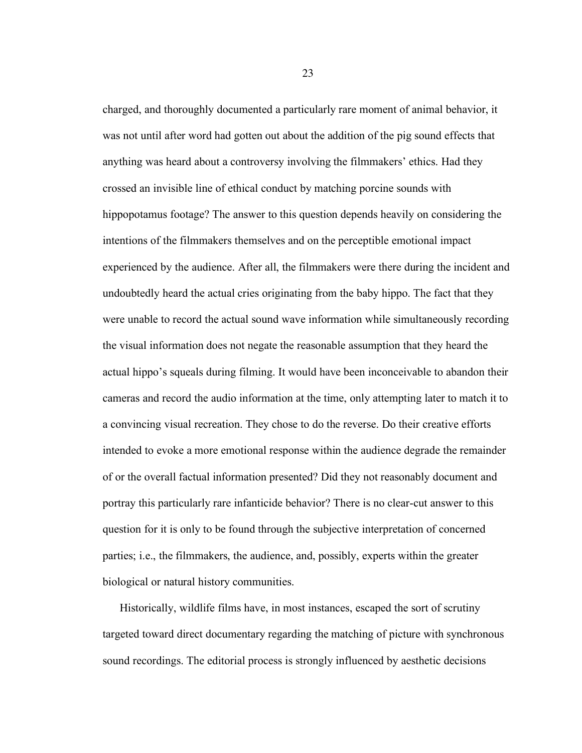charged, and thoroughly documented a particularly rare moment of animal behavior, it was not until after word had gotten out about the addition of the pig sound effects that anything was heard about a controversy involving the filmmakers' ethics. Had they crossed an invisible line of ethical conduct by matching porcine sounds with hippopotamus footage? The answer to this question depends heavily on considering the intentions of the filmmakers themselves and on the perceptible emotional impact experienced by the audience. After all, the filmmakers were there during the incident and undoubtedly heard the actual cries originating from the baby hippo. The fact that they were unable to record the actual sound wave information while simultaneously recording the visual information does not negate the reasonable assumption that they heard the actual hippo's squeals during filming. It would have been inconceivable to abandon their cameras and record the audio information at the time, only attempting later to match it to a convincing visual recreation. They chose to do the reverse. Do their creative efforts intended to evoke a more emotional response within the audience degrade the remainder of or the overall factual information presented? Did they not reasonably document and portray this particularly rare infanticide behavior? There is no clear-cut answer to this question for it is only to be found through the subjective interpretation of concerned parties; i.e., the filmmakers, the audience, and, possibly, experts within the greater biological or natural history communities.

Historically, wildlife films have, in most instances, escaped the sort of scrutiny targeted toward direct documentary regarding the matching of picture with synchronous sound recordings. The editorial process is strongly influenced by aesthetic decisions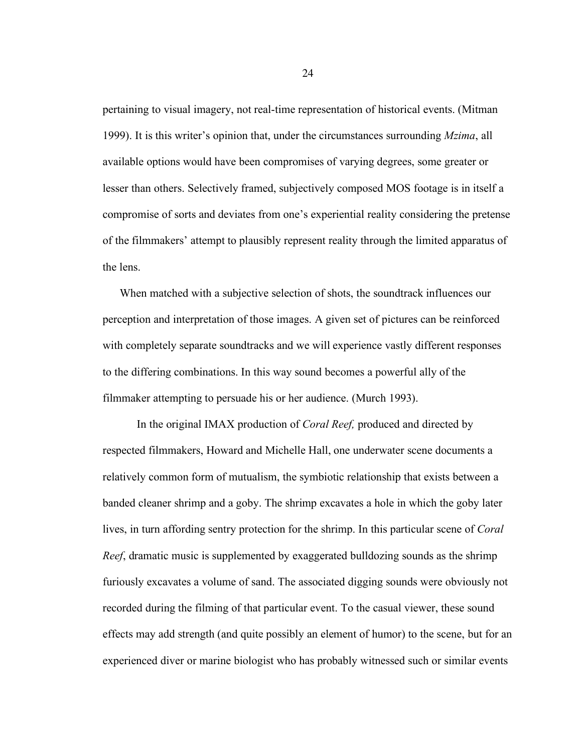pertaining to visual imagery, not real-time representation of historical events. (Mitman 1999). It is this writer's opinion that, under the circumstances surrounding *Mzima*, all available options would have been compromises of varying degrees, some greater or lesser than others. Selectively framed, subjectively composed MOS footage is in itself a compromise of sorts and deviates from one's experiential reality considering the pretense of the filmmakers' attempt to plausibly represent reality through the limited apparatus of the lens.

When matched with a subjective selection of shots, the soundtrack influences our perception and interpretation of those images. A given set of pictures can be reinforced with completely separate soundtracks and we will experience vastly different responses to the differing combinations. In this way sound becomes a powerful ally of the filmmaker attempting to persuade his or her audience. (Murch 1993).

In the original IMAX production of *Coral Reef,* produced and directed by respected filmmakers, Howard and Michelle Hall, one underwater scene documents a relatively common form of mutualism, the symbiotic relationship that exists between a banded cleaner shrimp and a goby. The shrimp excavates a hole in which the goby later lives, in turn affording sentry protection for the shrimp. In this particular scene of *Coral Reef*, dramatic music is supplemented by exaggerated bulldozing sounds as the shrimp furiously excavates a volume of sand. The associated digging sounds were obviously not recorded during the filming of that particular event. To the casual viewer, these sound effects may add strength (and quite possibly an element of humor) to the scene, but for an experienced diver or marine biologist who has probably witnessed such or similar events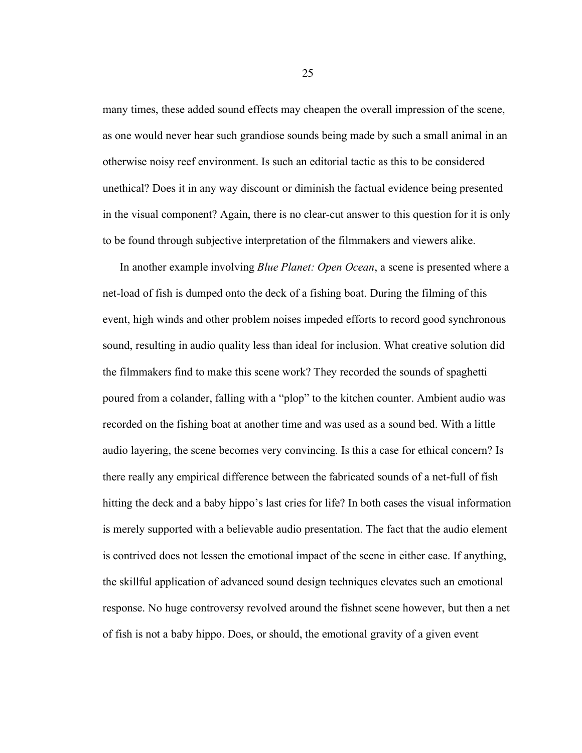many times, these added sound effects may cheapen the overall impression of the scene, as one would never hear such grandiose sounds being made by such a small animal in an otherwise noisy reef environment. Is such an editorial tactic as this to be considered unethical? Does it in any way discount or diminish the factual evidence being presented in the visual component? Again, there is no clear-cut answer to this question for it is only to be found through subjective interpretation of the filmmakers and viewers alike.

In another example involving *Blue Planet: Open Ocean*, a scene is presented where a net-load of fish is dumped onto the deck of a fishing boat. During the filming of this event, high winds and other problem noises impeded efforts to record good synchronous sound, resulting in audio quality less than ideal for inclusion. What creative solution did the filmmakers find to make this scene work? They recorded the sounds of spaghetti poured from a colander, falling with a "plop" to the kitchen counter. Ambient audio was recorded on the fishing boat at another time and was used as a sound bed. With a little audio layering, the scene becomes very convincing. Is this a case for ethical concern? Is there really any empirical difference between the fabricated sounds of a net-full of fish hitting the deck and a baby hippo's last cries for life? In both cases the visual information is merely supported with a believable audio presentation. The fact that the audio element is contrived does not lessen the emotional impact of the scene in either case. If anything, the skillful application of advanced sound design techniques elevates such an emotional response. No huge controversy revolved around the fishnet scene however, but then a net of fish is not a baby hippo. Does, or should, the emotional gravity of a given event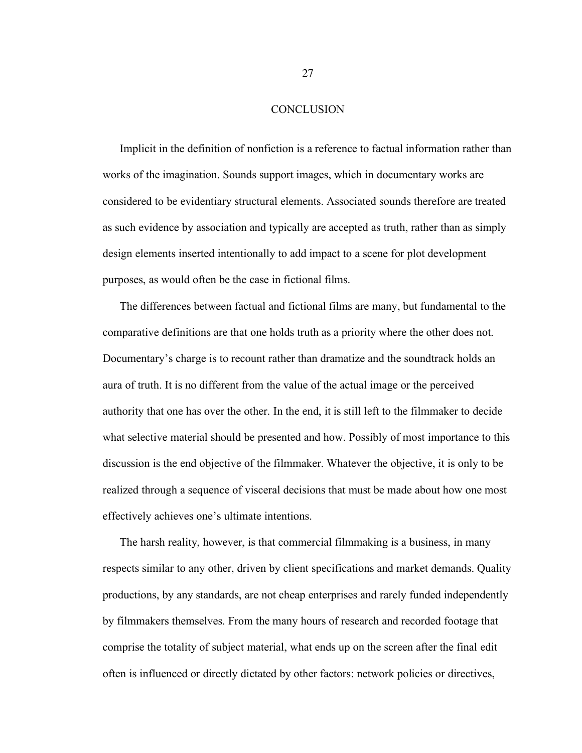#### **CONCLUSION**

Implicit in the definition of nonfiction is a reference to factual information rather than works of the imagination. Sounds support images, which in documentary works are considered to be evidentiary structural elements. Associated sounds therefore are treated as such evidence by association and typically are accepted as truth, rather than as simply design elements inserted intentionally to add impact to a scene for plot development purposes, as would often be the case in fictional films.

The differences between factual and fictional films are many, but fundamental to the comparative definitions are that one holds truth as a priority where the other does not. Documentary's charge is to recount rather than dramatize and the soundtrack holds an aura of truth. It is no different from the value of the actual image or the perceived authority that one has over the other. In the end, it is still left to the filmmaker to decide what selective material should be presented and how. Possibly of most importance to this discussion is the end objective of the filmmaker. Whatever the objective, it is only to be realized through a sequence of visceral decisions that must be made about how one most effectively achieves one's ultimate intentions.

The harsh reality, however, is that commercial filmmaking is a business, in many respects similar to any other, driven by client specifications and market demands. Quality productions, by any standards, are not cheap enterprises and rarely funded independently by filmmakers themselves. From the many hours of research and recorded footage that comprise the totality of subject material, what ends up on the screen after the final edit often is influenced or directly dictated by other factors: network policies or directives,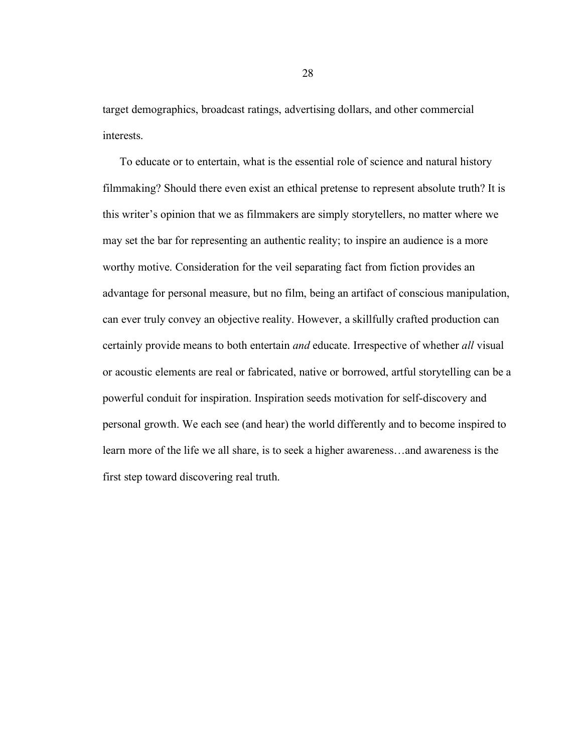target demographics, broadcast ratings, advertising dollars, and other commercial interests.

To educate or to entertain, what is the essential role of science and natural history filmmaking? Should there even exist an ethical pretense to represent absolute truth? It is this writer's opinion that we as filmmakers are simply storytellers, no matter where we may set the bar for representing an authentic reality; to inspire an audience is a more worthy motive. Consideration for the veil separating fact from fiction provides an advantage for personal measure, but no film, being an artifact of conscious manipulation, can ever truly convey an objective reality. However, a skillfully crafted production can certainly provide means to both entertain *and* educate. Irrespective of whether *all* visual or acoustic elements are real or fabricated, native or borrowed, artful storytelling can be a powerful conduit for inspiration. Inspiration seeds motivation for self-discovery and personal growth. We each see (and hear) the world differently and to become inspired to learn more of the life we all share, is to seek a higher awareness…and awareness is the first step toward discovering real truth.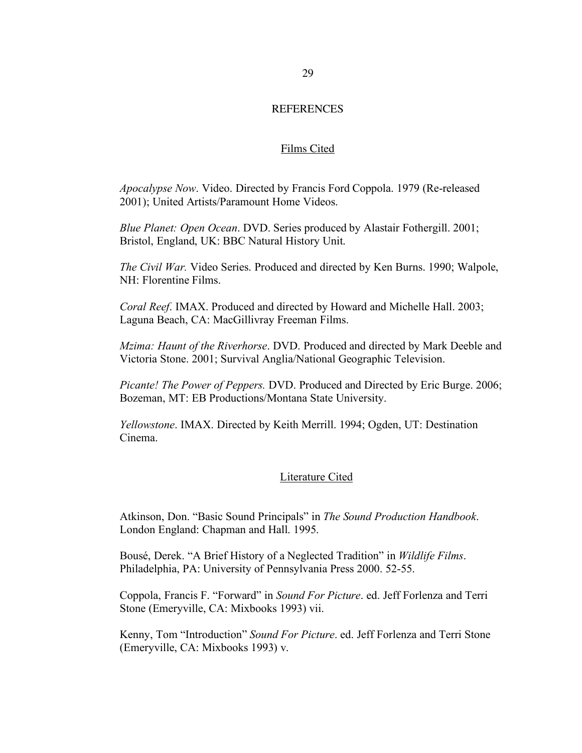#### **REFERENCES**

#### Films Cited

*Apocalypse Now*. Video. Directed by Francis Ford Coppola. 1979 (Re-released 2001); United Artists/Paramount Home Videos.

*Blue Planet: Open Ocean*. DVD. Series produced by Alastair Fothergill. 2001; Bristol, England, UK: BBC Natural History Unit.

*The Civil War.* Video Series. Produced and directed by Ken Burns. 1990; Walpole, NH: Florentine Films.

*Coral Reef*. IMAX. Produced and directed by Howard and Michelle Hall. 2003; Laguna Beach, CA: MacGillivray Freeman Films.

*Mzima: Haunt of the Riverhorse*. DVD. Produced and directed by Mark Deeble and Victoria Stone. 2001; Survival Anglia/National Geographic Television.

*Picante! The Power of Peppers.* DVD. Produced and Directed by Eric Burge. 2006; Bozeman, MT: EB Productions/Montana State University.

*Yellowstone*. IMAX. Directed by Keith Merrill. 1994; Ogden, UT: Destination Cinema.

#### Literature Cited

Atkinson, Don. "Basic Sound Principals" in *The Sound Production Handbook*. London England: Chapman and Hall. 1995.

Bousé, Derek. "A Brief History of a Neglected Tradition" in *Wildlife Films*. Philadelphia, PA: University of Pennsylvania Press 2000. 52-55.

Coppola, Francis F. "Forward" in *Sound For Picture*. ed. Jeff Forlenza and Terri Stone (Emeryville, CA: Mixbooks 1993) vii.

Kenny, Tom "Introduction" *Sound For Picture*. ed. Jeff Forlenza and Terri Stone (Emeryville, CA: Mixbooks 1993) v.